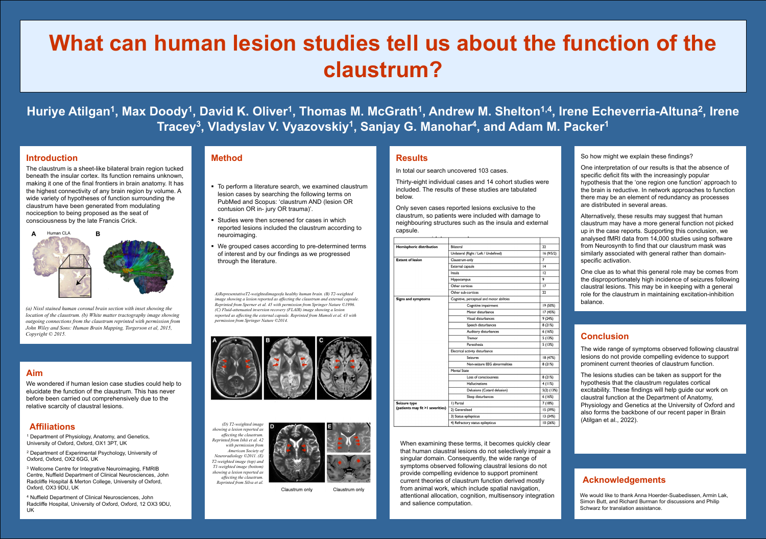### **Conclusion**

The wide range of symptoms observed following claustral lesions do not provide compelling evidence to support prominent current theories of claustrum function.

The lesions studies can be taken as support for the hypothesis that the claustrum regulates cortical excitability. These findings will help guide our work on claustral function at the Department of Anatomy, Physiology and Genetics at the University of Oxford and also forms the backbone of our recent paper in Brain (Atilgan et al., 2022).



### **Aim**

We wondered if human lesion case studies could help to elucidate the function of the claustrum. This has never before been carried out comprehensively due to the relative scarcity of claustral lesions.

### **Introduction**

- To perform a literature search, we examined claustrum lesion cases by searching the following terms on PubMed and Scopus: 'claustrum AND (lesion OR contusion OR in- jury OR trauma)'.
- **Studies were then screened for cases in which** reported lesions included the claustrum according to neuroimaging.
- We grouped cases according to pre-determined terms of interest and by our findings as we progressed through the literature.

The claustrum is a sheet-like bilateral brain region tucked beneath the insular cortex. Its function remains unknown, making it one of the final frontiers in brain anatomy. It has the highest connectivity of any brain region by volume. A wide variety of hypotheses of function surrounding the claustrum have been generated from modulating nociception to being proposed as the seat of consciousness by the late Francis Crick.



### **Method**

## Huriye Atilgan<sup>1</sup>, Max Doody<sup>1</sup>, David K. Oliver<sup>1</sup>, Thomas M. McGrath<sup>1</sup>, Andrew M. Shelton<sup>1,4</sup>, Irene Echeverria-Altuna<sup>2</sup>, Irene **Tracey3, Vladyslav V. Vyazovskiy1, Sanjay G. Manohar4, and Adam M. Packer1**

### **Results**

In total our search uncovered 103 cases.

Thirty-eight individual cases and 14 cohort studies were included. The results of these studies are tabulated below.

Only seven cases reported lesions exclusive to the claustrum, so patients were included with damage to neighbouring structures such as the insula and external capsule.

So how might we explain these findings?

One interpretation of our results is that the absence of specific deficit fits with the increasingly popular hypothesis that the 'one region one function' approach to the brain is reductive. In network approaches to function there may be an element of redundancy as processes are distributed in several areas.

<sup>1</sup> Department of Physiology, Anatomy, and Genetics, University of Oxford, Oxford, OX1 3PT, UK

<sup>2</sup> Department of Experimental Psychology, University of Oxford, Oxford, OX2 6GG, UK

Alternatively, these results may suggest that human claustrum may have a more general function not picked up in the case reports. Supporting this conclusion, we analysed fMRI data from 14,000 studies using software from Neurosynth to find that our claustrum mask was similarly associated with general rather than domainspecific activation.

<sup>3</sup> Wellcome Centre for Integrative Neuroimaging, FMRIB Centre, Nuffield Department of Clinical Neurosciences, John Radcliffe Hospital & Merton College, University of Oxford, Oxford, OX3 9DU, UK

One clue as to what this general role may be comes from the disproportionately high incidence of seizures following claustral lesions. This may be in keeping with a general role for the claustrum in maintaining excitation-inhibition balance.

# **What can human lesion studies tell us about the function of the claustrum?**

| <b>Hemispheric distribution</b>                   | <b>Bilateral</b>                          | 22           |
|---------------------------------------------------|-------------------------------------------|--------------|
|                                                   | Unilateral (Right / Left / Undefined)     | 16(9/5/2)    |
| <b>Extent of lesion</b>                           | Claustrum-only                            | 7            |
|                                                   | <b>External capsule</b>                   | 14           |
|                                                   | Insula                                    | 12           |
|                                                   | <b>Hippocampus</b>                        | 9            |
|                                                   | Other cortices                            | 17           |
|                                                   | Other sub-cortices                        | 22           |
| <b>Signs and symptoms</b>                         | Cognitive, perceptual and motor abilities |              |
|                                                   | Cognitive impairment                      | 19 (50%)     |
|                                                   | Motor disturbance                         | 17 (45%)     |
|                                                   | Visual disturbances                       | 9(24%)       |
|                                                   | Speech disturbances                       | 8(21%)       |
|                                                   | Auditory disturbances                     | 6(16%)       |
|                                                   | Tremor                                    | 5(13%)       |
|                                                   | Paresthesia                               | 5 (13%)      |
|                                                   | Electrical activity disturbance           |              |
|                                                   | <b>Seizures</b>                           | 18 (47%)     |
|                                                   | Non-seizure EEG abnormalities             | 8(21%)       |
|                                                   | <b>Mental State</b>                       |              |
|                                                   | Loss of consciousness                     | 8(21%)       |
|                                                   | <b>Hallucinations</b>                     | 4(11%)       |
|                                                   | Delusions (Cotard delusion)               | $5(2)$ (13%) |
|                                                   | Sleep disturbances                        | 6 (16%)      |
| Seizure type<br>(patients may fit > I severities) | I) Partial                                | 7 (18%)      |
|                                                   | 2) Generalised                            | 15 (39%)     |
|                                                   | 3) Status epilepticus                     | 13 (34%)     |
|                                                   | 4) Refractory status epilepticus          | 10(26%)      |

*A)RepresentativeT2-weightedimageofa healthy human brain. (B) T2-weighted image showing a lesion reported as affecting the claustrum and external capsule. Reprinted from Sperner et al. 45 with permission from Springer Nature ©1996. (C) Fluid-attenuated inversion recovery (FLAIR) image showing a lesion reported as affecting the external capsule. Reprinted from Mumoli et al. 43 with permission from Springer Nature ©2014.* 



*(D) T2-weighted image showing a lesion reported as affecting the claustrum. Reprinted from Ishii et al. 42 with permission from American Society of Neuroradiology ©2011. (E) T2-weighted image (top) and T1-weighted image (bottom) showing a lesion reported as affecting the claustrum. Reprinted from Silva et al.* 



Claustrum only



Claustrum only

When examining these terms, it becomes quickly clear that human claustral lesions do not selectively impair a singular domain. Consequently, the wide range of symptoms observed following claustral lesions do not provide compelling evidence to support prominent current theories of claustrum function derived mostly from animal work, which include spatial navigation, attentional allocation, cognition, multisensory integration and salience computation.

### **Acknowledgements**

### **Affiliations**

<sup>4</sup> Nuffield Department of Clinical Neurosciences, John Radcliffe Hospital, University of Oxford, Oxford, 12 OX3 9DU, UK

We would like to thank Anna Hoerder-Suabedissen, Armin Lak, Simon Butt, and Richard Burman for discussions and Philip Schwarz for translation assistance.

*(a) Nissl stained human coronal brain section with inset showing the location of the claustrum. (b) White matter tractography image showing outgoing connections from the claustrum reprinted with permission from John Wiley and Sons: Human Brain Mapping, Torgerson et al, 2015, Copyright © 2015.*